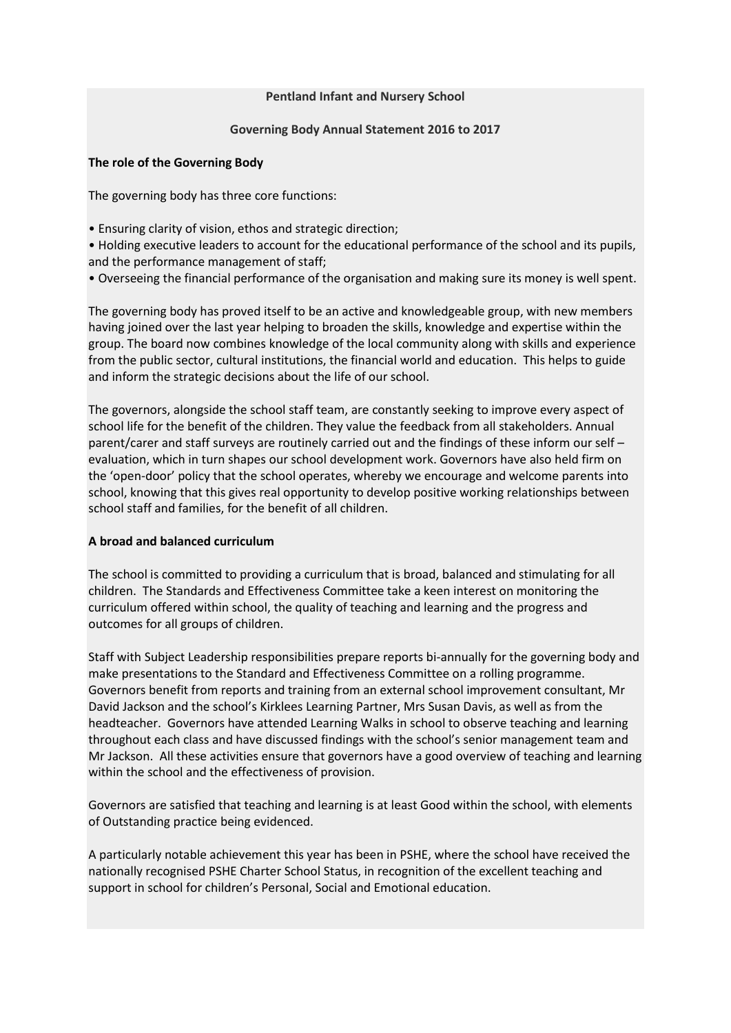#### **Pentland Infant and Nursery School**

### **Governing Body Annual Statement 2016 to 2017**

#### **The role of the Governing Body**

The governing body has three core functions:

• Ensuring clarity of vision, ethos and strategic direction;

• Holding executive leaders to account for the educational performance of the school and its pupils, and the performance management of staff;

• Overseeing the financial performance of the organisation and making sure its money is well spent.

The governing body has proved itself to be an active and knowledgeable group, with new members having joined over the last year helping to broaden the skills, knowledge and expertise within the group. The board now combines knowledge of the local community along with skills and experience from the public sector, cultural institutions, the financial world and education. This helps to guide and inform the strategic decisions about the life of our school.

The governors, alongside the school staff team, are constantly seeking to improve every aspect of school life for the benefit of the children. They value the feedback from all stakeholders. Annual parent/carer and staff surveys are routinely carried out and the findings of these inform our self – evaluation, which in turn shapes our school development work. Governors have also held firm on the 'open-door' policy that the school operates, whereby we encourage and welcome parents into school, knowing that this gives real opportunity to develop positive working relationships between school staff and families, for the benefit of all children.

### **A broad and balanced curriculum**

The school is committed to providing a curriculum that is broad, balanced and stimulating for all children. The Standards and Effectiveness Committee take a keen interest on monitoring the curriculum offered within school, the quality of teaching and learning and the progress and outcomes for all groups of children.

Staff with Subject Leadership responsibilities prepare reports bi-annually for the governing body and make presentations to the Standard and Effectiveness Committee on a rolling programme. Governors benefit from reports and training from an external school improvement consultant, Mr David Jackson and the school's Kirklees Learning Partner, Mrs Susan Davis, as well as from the headteacher. Governors have attended Learning Walks in school to observe teaching and learning throughout each class and have discussed findings with the school's senior management team and Mr Jackson. All these activities ensure that governors have a good overview of teaching and learning within the school and the effectiveness of provision.

Governors are satisfied that teaching and learning is at least Good within the school, with elements of Outstanding practice being evidenced.

A particularly notable achievement this year has been in PSHE, where the school have received the nationally recognised PSHE Charter School Status, in recognition of the excellent teaching and support in school for children's Personal, Social and Emotional education.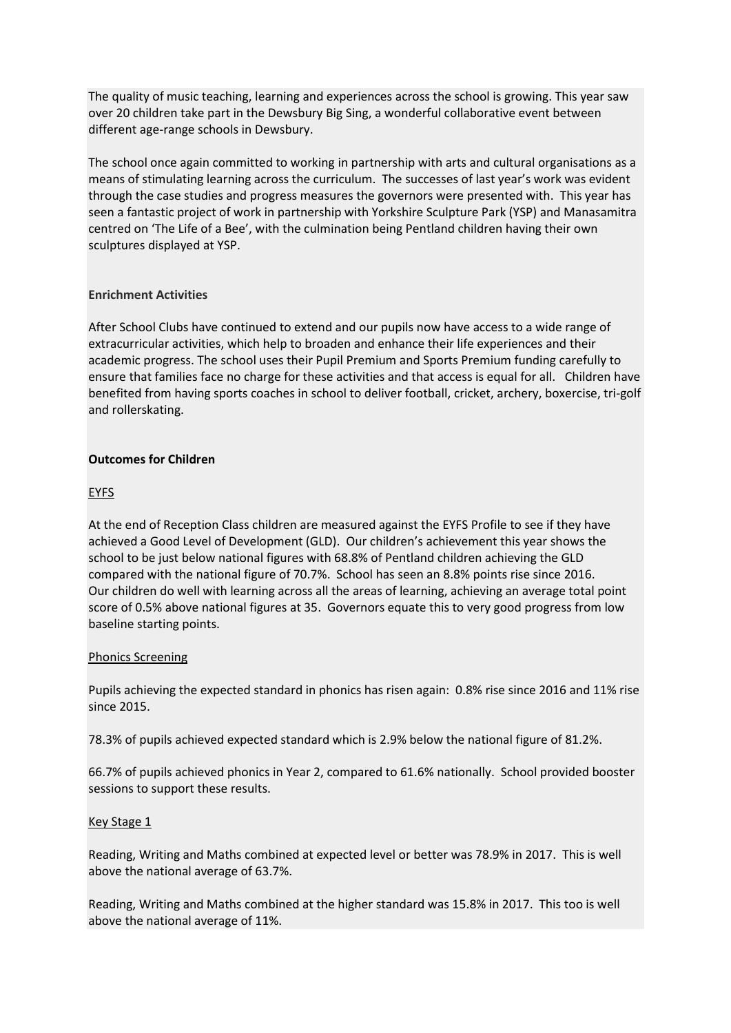The quality of music teaching, learning and experiences across the school is growing. This year saw over 20 children take part in the Dewsbury Big Sing, a wonderful collaborative event between different age-range schools in Dewsbury.

The school once again committed to working in partnership with arts and cultural organisations as a means of stimulating learning across the curriculum. The successes of last year's work was evident through the case studies and progress measures the governors were presented with. This year has seen a fantastic project of work in partnership with Yorkshire Sculpture Park (YSP) and Manasamitra centred on 'The Life of a Bee', with the culmination being Pentland children having their own sculptures displayed at YSP.

## **Enrichment Activities**

After School Clubs have continued to extend and our pupils now have access to a wide range of extracurricular activities, which help to broaden and enhance their life experiences and their academic progress. The school uses their Pupil Premium and Sports Premium funding carefully to ensure that families face no charge for these activities and that access is equal for all. Children have benefited from having sports coaches in school to deliver football, cricket, archery, boxercise, tri-golf and rollerskating.

# **Outcomes for Children**

# EYFS

At the end of Reception Class children are measured against the EYFS Profile to see if they have achieved a Good Level of Development (GLD). Our children's achievement this year shows the school to be just below national figures with 68.8% of Pentland children achieving the GLD compared with the national figure of 70.7%. School has seen an 8.8% points rise since 2016. Our children do well with learning across all the areas of learning, achieving an average total point score of 0.5% above national figures at 35. Governors equate this to very good progress from low baseline starting points.

### Phonics Screening

Pupils achieving the expected standard in phonics has risen again: 0.8% rise since 2016 and 11% rise since 2015.

78.3% of pupils achieved expected standard which is 2.9% below the national figure of 81.2%.

66.7% of pupils achieved phonics in Year 2, compared to 61.6% nationally. School provided booster sessions to support these results.

### Key Stage 1

Reading, Writing and Maths combined at expected level or better was 78.9% in 2017. This is well above the national average of 63.7%.

Reading, Writing and Maths combined at the higher standard was 15.8% in 2017. This too is well above the national average of 11%.